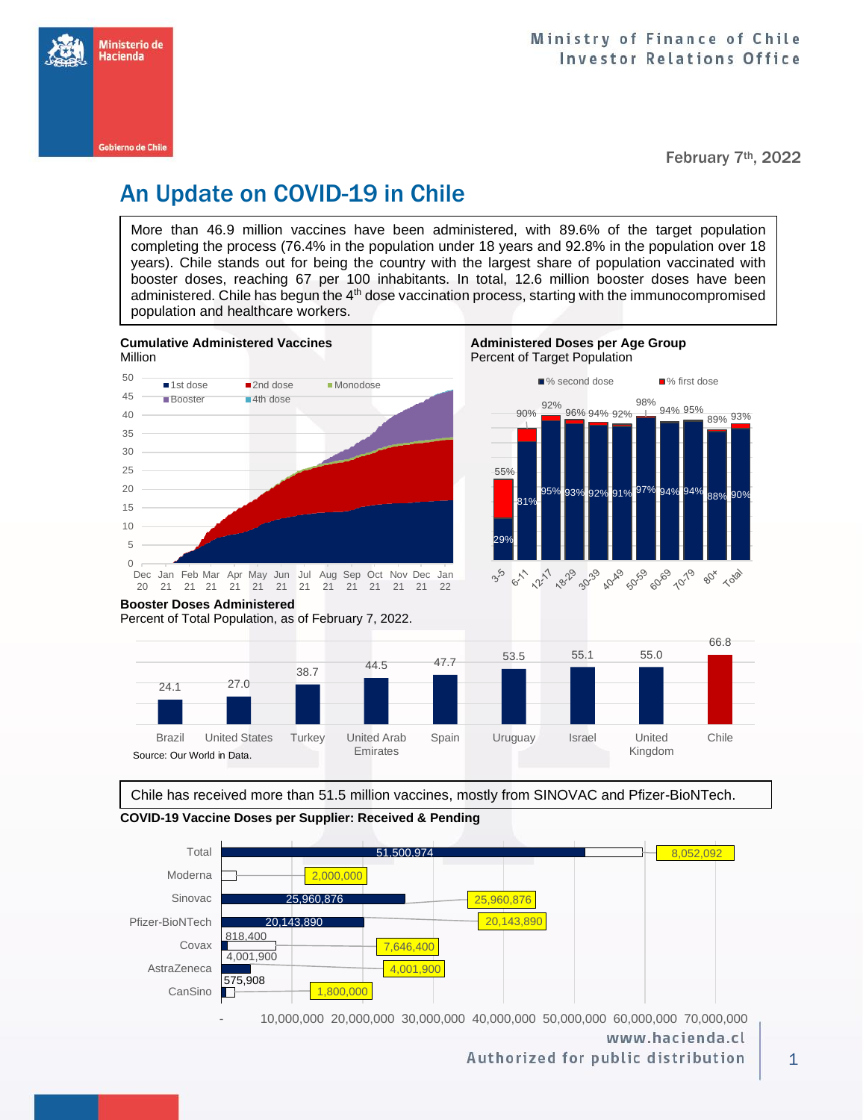

February 7th, 2022

# An Update on COVID-19 in Chile

More than 46.9 million vaccines have been administered, with 89.6% of the target population completing the process (76.4% in the population under 18 years and 92.8% in the population over 18 years). Chile stands out for being the country with the largest share of population vaccinated with booster doses, reaching 67 per 100 inhabitants. In total, 12.6 million booster doses have been administered. Chile has begun the 4<sup>th</sup> dose vaccination process, starting with the immunocompromised population and healthcare workers.







**Booster Doses Administered**

Percent of Total Population, as of February 7, 2022.



Chile has received more than 51.5 million vaccines, mostly from SINOVAC and Pfizer-BioNTech.





www.hacienda.cl

Authorized for public distribution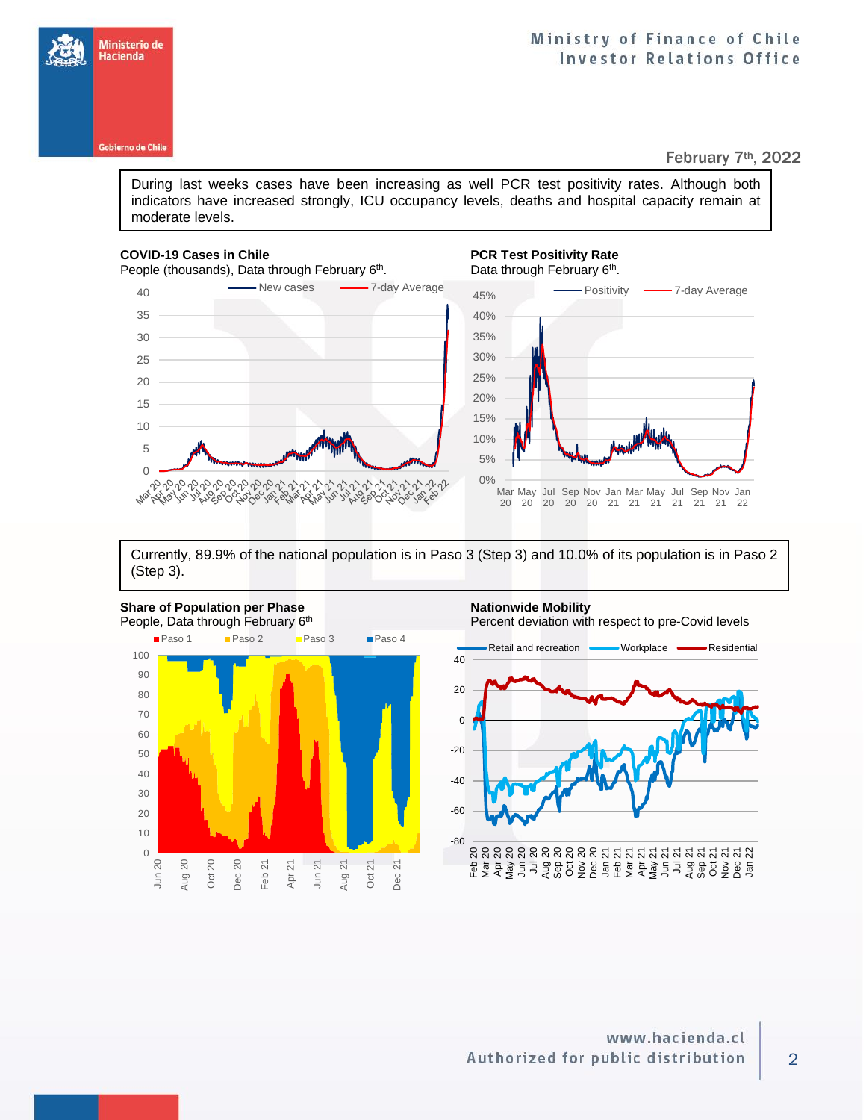

Ministerio de Hacienda

### February 7th, 2022

During last weeks cases have been increasing as well PCR test positivity rates. Although both indicators have increased strongly, ICU occupancy levels, deaths and hospital capacity remain at moderate levels.

### **COVID-19 Cases in Chile PCR Test Positivity Rate**

People (thousands), Data through February 6<sup>th</sup>

. Data through February 6<sup>th</sup>. 45% Positivity - 7-day Average



Currently, 89.9% of the national population is in Paso 3 (Step 3) and 10.0% of its population is in Paso 2 (Step 3).